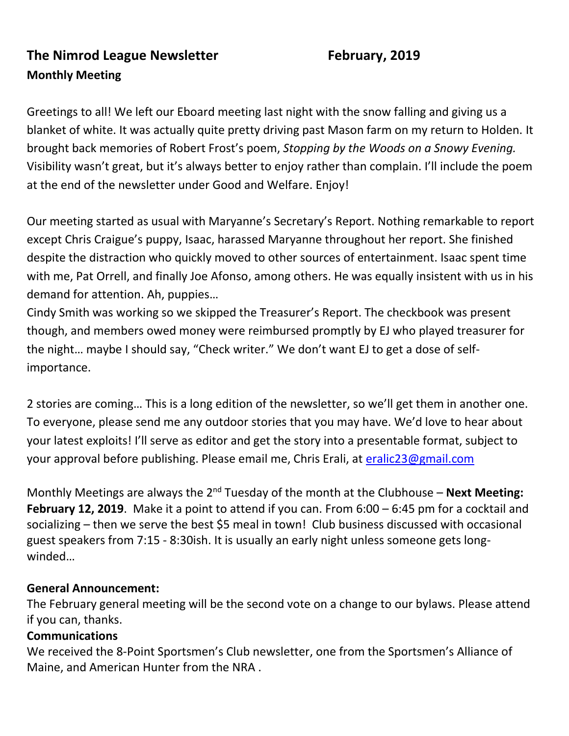### **The Nimrod League Newsletter February, 2019 Monthly Meeting**

Greetings to all! We left our Eboard meeting last night with the snow falling and giving us a blanket of white. It was actually quite pretty driving past Mason farm on my return to Holden. It brought back memories of Robert Frost's poem, *Stopping by the Woods on a Snowy Evening.* Visibility wasn't great, but it's always better to enjoy rather than complain. I'll include the poem at the end of the newsletter under Good and Welfare. Enjoy!

Our meeting started as usual with Maryanne's Secretary's Report. Nothing remarkable to report except Chris Craigue's puppy, Isaac, harassed Maryanne throughout her report. She finished despite the distraction who quickly moved to other sources of entertainment. Isaac spent time with me, Pat Orrell, and finally Joe Afonso, among others. He was equally insistent with us in his demand for attention. Ah, puppies…

Cindy Smith was working so we skipped the Treasurer's Report. The checkbook was present though, and members owed money were reimbursed promptly by EJ who played treasurer for the night… maybe I should say, "Check writer." We don't want EJ to get a dose of selfimportance.

2 stories are coming… This is a long edition of the newsletter, so we'll get them in another one. To everyone, please send me any outdoor stories that you may have. We'd love to hear about your latest exploits! I'll serve as editor and get the story into a presentable format, subject to your approval before publishing. Please email me, Chris Erali, at [eralic23@gmail.com](mailto:eralic23@gmail.com)

Monthly Meetings are always the 2<sup>nd</sup> Tuesday of the month at the Clubhouse – **Next Meeting: February 12, 2019**. Make it a point to attend if you can. From 6:00 – 6:45 pm for a cocktail and socializing – then we serve the best \$5 meal in town! Club business discussed with occasional guest speakers from 7:15 - 8:30ish. It is usually an early night unless someone gets longwinded…

#### **General Announcement:**

The February general meeting will be the second vote on a change to our bylaws. Please attend if you can, thanks.

#### **Communications**

We received the 8-Point Sportsmen's Club newsletter, one from the Sportsmen's Alliance of Maine, and American Hunter from the NRA .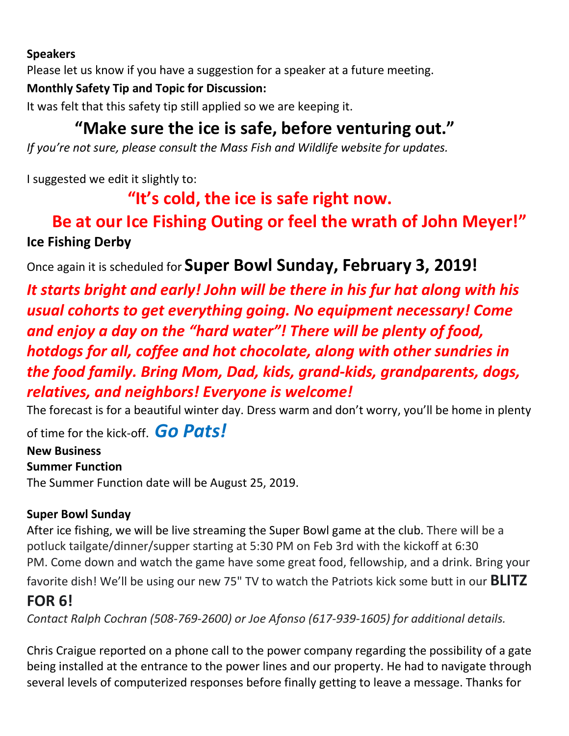#### **Speakers**

Please let us know if you have a suggestion for a speaker at a future meeting.

#### **Monthly Safety Tip and Topic for Discussion:**

It was felt that this safety tip still applied so we are keeping it.

# **"Make sure the ice is safe, before venturing out."**

*If you're not sure, please consult the Mass Fish and Wildlife website for updates.*

I suggested we edit it slightly to:

### **"It's cold, the ice is safe right now.**

# **Be at our Ice Fishing Outing or feel the wrath of John Meyer!" Ice Fishing Derby**

Once again it is scheduled for **Super Bowl Sunday, February 3, 2019!**

*It starts bright and early! John will be there in his fur hat along with his usual cohorts to get everything going. No equipment necessary! Come and enjoy a day on the "hard water"! There will be plenty of food, hotdogs for all, coffee and hot chocolate, along with other sundries in the food family. Bring Mom, Dad, kids, grand-kids, grandparents, dogs, relatives, and neighbors! Everyone is welcome!* 

The forecast is for a beautiful winter day. Dress warm and don't worry, you'll be home in plenty

of time for the kick-off. *Go Pats!*

# **New Business**

**Summer Function** The Summer Function date will be August 25, 2019.

#### **Super Bowl Sunday**

After ice fishing, we will be live streaming the Super Bowl game at the club. There will be a potluck tailgate/dinner/supper starting at 5:30 PM on Feb 3rd with the kickoff at 6:30 PM. Come down and watch the game have some great food, fellowship, and a drink. Bring your

favorite dish! We'll be using our new 75" TV to watch the Patriots kick some butt in our **BLITZ** 

### **FOR 6!**

*Contact Ralph Cochran (508-769-2600) or Joe Afonso (617-939-1605) for additional details.*

Chris Craigue reported on a phone call to the power company regarding the possibility of a gate being installed at the entrance to the power lines and our property. He had to navigate through several levels of computerized responses before finally getting to leave a message. Thanks for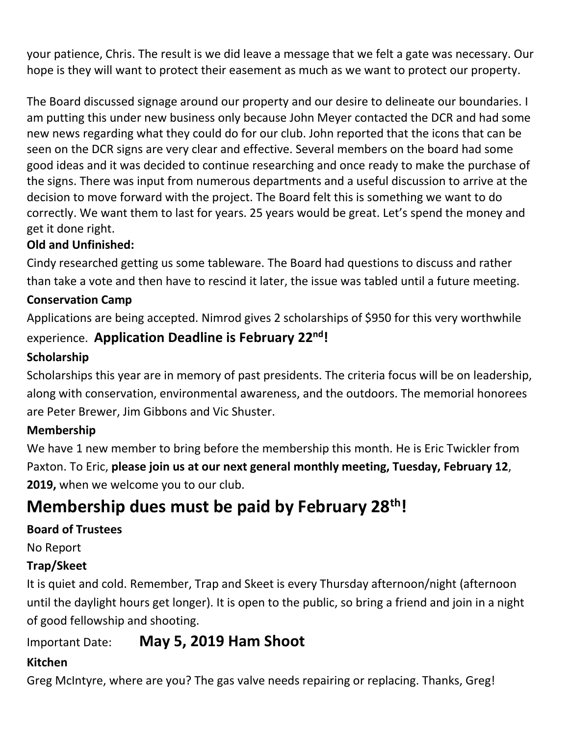your patience, Chris. The result is we did leave a message that we felt a gate was necessary. Our hope is they will want to protect their easement as much as we want to protect our property.

The Board discussed signage around our property and our desire to delineate our boundaries. I am putting this under new business only because John Meyer contacted the DCR and had some new news regarding what they could do for our club. John reported that the icons that can be seen on the DCR signs are very clear and effective. Several members on the board had some good ideas and it was decided to continue researching and once ready to make the purchase of the signs. There was input from numerous departments and a useful discussion to arrive at the decision to move forward with the project. The Board felt this is something we want to do correctly. We want them to last for years. 25 years would be great. Let's spend the money and get it done right.

#### **Old and Unfinished:**

Cindy researched getting us some tableware. The Board had questions to discuss and rather than take a vote and then have to rescind it later, the issue was tabled until a future meeting.

#### **Conservation Camp**

Applications are being accepted. Nimrod gives 2 scholarships of \$950 for this very worthwhile experience. **Application Deadline is February 22nd!**

#### **Scholarship**

Scholarships this year are in memory of past presidents. The criteria focus will be on leadership, along with conservation, environmental awareness, and the outdoors. The memorial honorees are Peter Brewer, Jim Gibbons and Vic Shuster.

#### **Membership**

We have 1 new member to bring before the membership this month. He is Eric Twickler from Paxton. To Eric, **please join us at our next general monthly meeting, Tuesday, February 12**, **2019,** when we welcome you to our club.

# **Membership dues must be paid by February 28th!**

#### **Board of Trustees**

No Report

#### **Trap/Skeet**

It is quiet and cold. Remember, Trap and Skeet is every Thursday afternoon/night (afternoon until the daylight hours get longer). It is open to the public, so bring a friend and join in a night of good fellowship and shooting.

### Important Date: **May 5, 2019 Ham Shoot**

#### **Kitchen**

Greg McIntyre, where are you? The gas valve needs repairing or replacing. Thanks, Greg!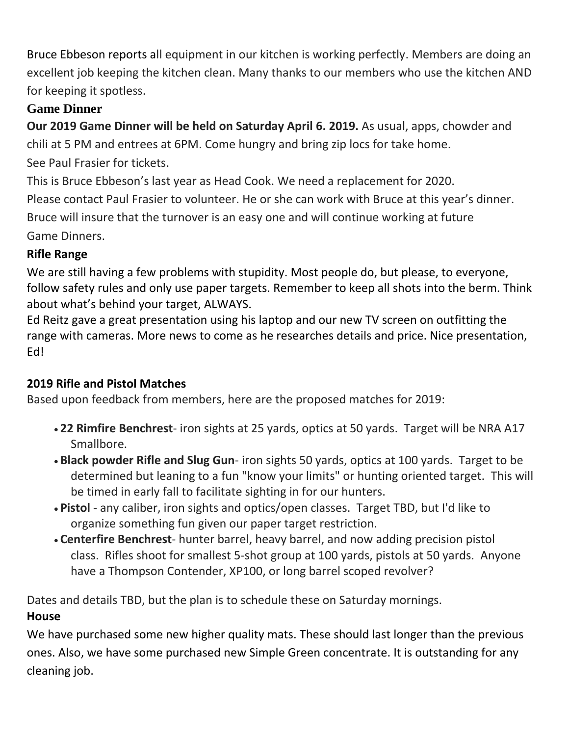Bruce Ebbeson reports all equipment in our kitchen is working perfectly. Members are doing an excellent job keeping the kitchen clean. Many thanks to our members who use the kitchen AND for keeping it spotless.

#### **Game Dinner**

**Our 2019 Game Dinner will be held on Saturday April 6. 2019.** As usual, apps, chowder and chili at 5 PM and entrees at 6PM. Come hungry and bring zip locs for take home. See Paul Frasier for tickets.

This is Bruce Ebbeson's last year as Head Cook. We need a replacement for 2020. Please contact Paul Frasier to volunteer. He or she can work with Bruce at this year's dinner. Bruce will insure that the turnover is an easy one and will continue working at future Game Dinners.

#### **Rifle Range**

We are still having a few problems with stupidity. Most people do, but please, to everyone, follow safety rules and only use paper targets. Remember to keep all shots into the berm. Think about what's behind your target, ALWAYS.

Ed Reitz gave a great presentation using his laptop and our new TV screen on outfitting the range with cameras. More news to come as he researches details and price. Nice presentation, Ed!

#### **2019 Rifle and Pistol Matches**

Based upon feedback from members, here are the proposed matches for 2019:

- **22 Rimfire Benchrest** iron sights at 25 yards, optics at 50 yards. Target will be NRA A17 Smallbore.
- **Black powder Rifle and Slug Gun** iron sights 50 yards, optics at 100 yards. Target to be determined but leaning to a fun "know your limits" or hunting oriented target. This will be timed in early fall to facilitate sighting in for our hunters.
- **Pistol** any caliber, iron sights and optics/open classes. Target TBD, but I'd like to organize something fun given our paper target restriction.
- **Centerfire Benchrest** hunter barrel, heavy barrel, and now adding precision pistol class. Rifles shoot for smallest 5-shot group at 100 yards, pistols at 50 yards. Anyone have a Thompson Contender, XP100, or long barrel scoped revolver?

Dates and details TBD, but the plan is to schedule these on Saturday mornings. **House**

We have purchased some new higher quality mats. These should last longer than the previous ones. Also, we have some purchased new Simple Green concentrate. It is outstanding for any cleaning job.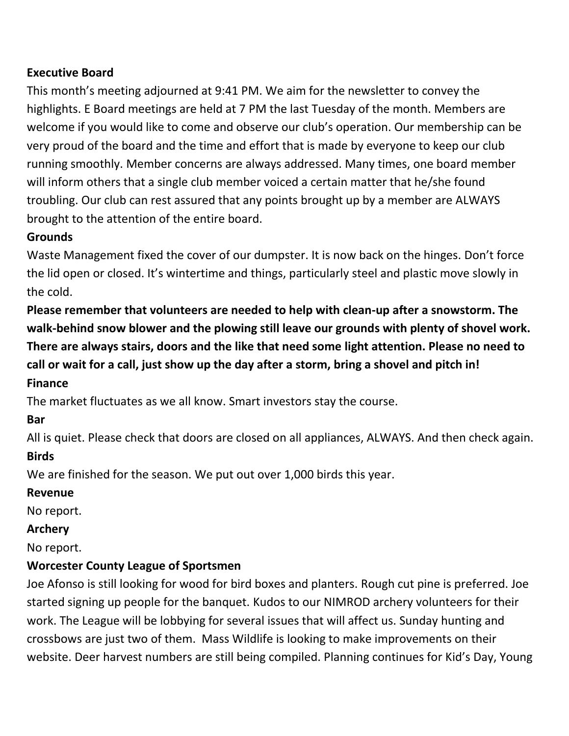#### **Executive Board**

This month's meeting adjourned at 9:41 PM. We aim for the newsletter to convey the highlights. E Board meetings are held at 7 PM the last Tuesday of the month. Members are welcome if you would like to come and observe our club's operation. Our membership can be very proud of the board and the time and effort that is made by everyone to keep our club running smoothly. Member concerns are always addressed. Many times, one board member will inform others that a single club member voiced a certain matter that he/she found troubling. Our club can rest assured that any points brought up by a member are ALWAYS brought to the attention of the entire board.

#### **Grounds**

Waste Management fixed the cover of our dumpster. It is now back on the hinges. Don't force the lid open or closed. It's wintertime and things, particularly steel and plastic move slowly in the cold.

**Please remember that volunteers are needed to help with clean-up after a snowstorm. The walk-behind snow blower and the plowing still leave our grounds with plenty of shovel work. There are always stairs, doors and the like that need some light attention. Please no need to call or wait for a call, just show up the day after a storm, bring a shovel and pitch in!**

#### **Finance**

The market fluctuates as we all know. Smart investors stay the course.

#### **Bar**

All is quiet. Please check that doors are closed on all appliances, ALWAYS. And then check again.

#### **Birds**

We are finished for the season. We put out over 1,000 birds this year.

#### **Revenue**

No report.

#### **Archery**

No report.

#### **Worcester County League of Sportsmen**

Joe Afonso is still looking for wood for bird boxes and planters. Rough cut pine is preferred. Joe started signing up people for the banquet. Kudos to our NIMROD archery volunteers for their work. The League will be lobbying for several issues that will affect us. Sunday hunting and crossbows are just two of them. Mass Wildlife is looking to make improvements on their website. Deer harvest numbers are still being compiled. Planning continues for Kid's Day, Young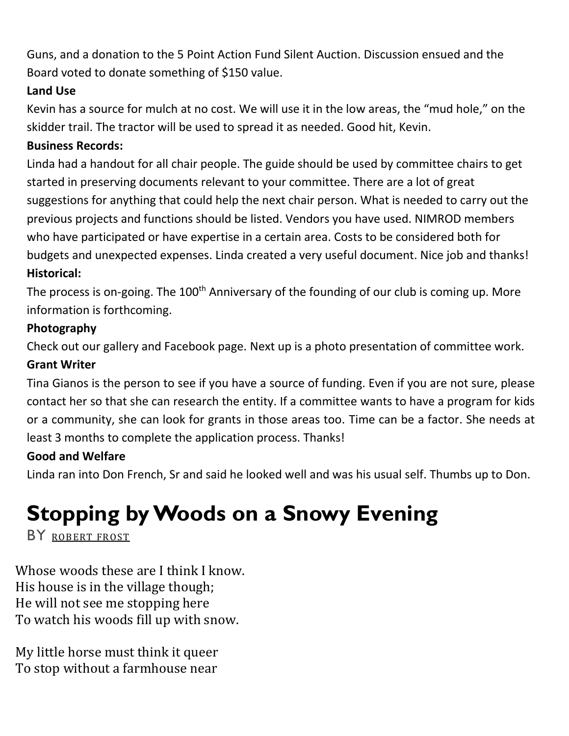Guns, and a donation to the 5 Point Action Fund Silent Auction. Discussion ensued and the Board voted to donate something of \$150 value.

#### **Land Use**

Kevin has a source for mulch at no cost. We will use it in the low areas, the "mud hole," on the skidder trail. The tractor will be used to spread it as needed. Good hit, Kevin.

#### **Business Records:**

Linda had a handout for all chair people. The guide should be used by committee chairs to get started in preserving documents relevant to your committee. There are a lot of great suggestions for anything that could help the next chair person. What is needed to carry out the previous projects and functions should be listed. Vendors you have used. NIMROD members who have participated or have expertise in a certain area. Costs to be considered both for budgets and unexpected expenses. Linda created a very useful document. Nice job and thanks! **Historical:**

The process is on-going. The 100<sup>th</sup> Anniversary of the founding of our club is coming up. More information is forthcoming.

#### **Photography**

Check out our gallery and Facebook page. Next up is a photo presentation of committee work. **Grant Writer**

Tina Gianos is the person to see if you have a source of funding. Even if you are not sure, please contact her so that she can research the entity. If a committee wants to have a program for kids or a community, she can look for grants in those areas too. Time can be a factor. She needs at least 3 months to complete the application process. Thanks!

#### **Good and Welfare**

Linda ran into Don French, Sr and said he looked well and was his usual self. Thumbs up to Don.

# **Stopping by Woods on a Snowy Evening**

BY [ROBERT](https://www.poetryfoundation.org/poets/robert-frost) FROST

Whose woods these are I think I know. His house is in the village though; He will not see me stopping here To watch his woods fill up with snow.

My little horse must think it queer To stop without a farmhouse near